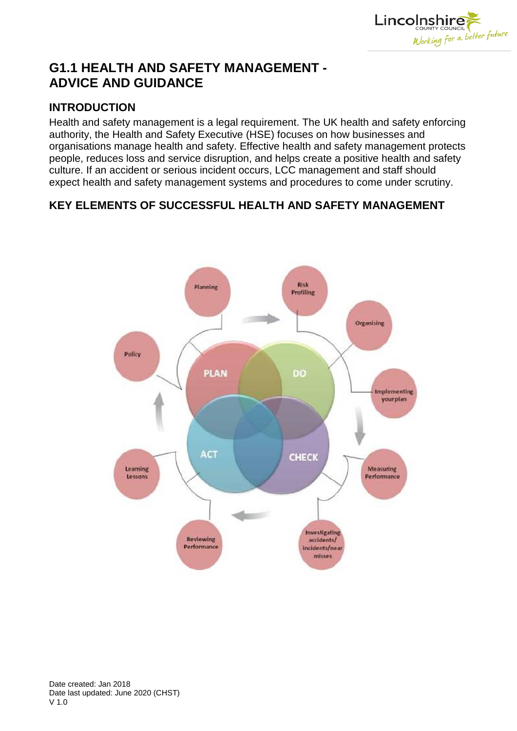

# **G1.1 HEALTH AND SAFETY MANAGEMENT - ADVICE AND GUIDANCE**

### **INTRODUCTION**

Health and safety management is a legal requirement. The UK health and safety enforcing authority, the Health and Safety Executive (HSE) focuses on how businesses and organisations manage health and safety. Effective health and safety management protects people, reduces loss and service disruption, and helps create a positive health and safety culture. If an accident or serious incident occurs, LCC management and staff should expect health and safety management systems and procedures to come under scrutiny.

## **KEY ELEMENTS OF SUCCESSFUL HEALTH AND SAFETY MANAGEMENT**

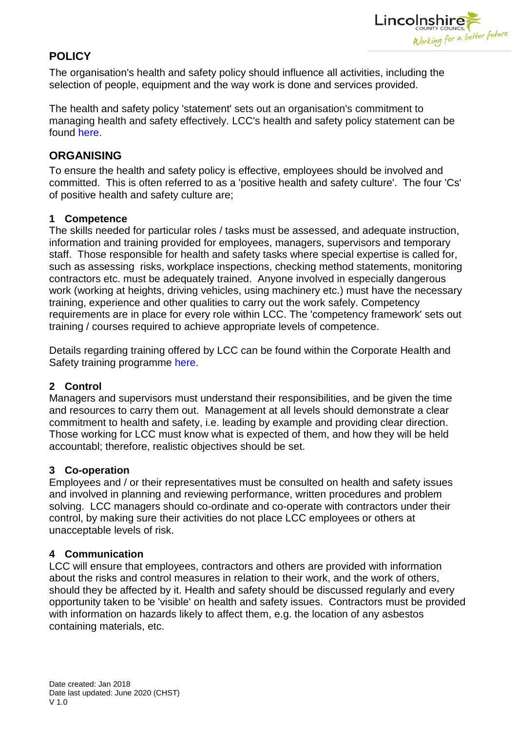

# **POLICY**

The organisation's health and safety policy should influence all activities, including the selection of people, equipment and the way work is done and services provided.

The health and safety policy 'statement' sets out an organisation's commitment to managing health and safety effectively. LCC's health and safety policy statement can be found [here.](http://www.lincolnshire.gov.uk/professionals/downloads/file/1093/corporate-health-and-safety-policy-poster)

### **ORGANISING**

To ensure the health and safety policy is effective, employees should be involved and committed. This is often referred to as a 'positive health and safety culture'. The four 'Cs' of positive health and safety culture are;

#### **1 Competence**

The skills needed for particular roles / tasks must be assessed, and adequate instruction, information and training provided for employees, managers, supervisors and temporary staff. Those responsible for health and safety tasks where special expertise is called for, such as assessing risks, workplace inspections, checking method statements, monitoring contractors etc. must be adequately trained. Anyone involved in especially dangerous work (working at heights, driving vehicles, using machinery etc.) must have the necessary training, experience and other qualities to carry out the work safely. Competency requirements are in place for every role within LCC. The 'competency framework' sets out training / courses required to achieve appropriate levels of competence.

Details regarding training offered by LCC can be found within the Corporate Health and Safety training programme [here.](http://george/section.asp?catId=37590)

### **2 Control**

Managers and supervisors must understand their responsibilities, and be given the time and resources to carry them out. Management at all levels should demonstrate a clear commitment to health and safety, i.e. leading by example and providing clear direction. Those working for LCC must know what is expected of them, and how they will be held accountabl; therefore, realistic objectives should be set.

### **3 Co-operation**

Employees and / or their representatives must be consulted on health and safety issues and involved in planning and reviewing performance, written procedures and problem solving. LCC managers should co-ordinate and co-operate with contractors under their control, by making sure their activities do not place LCC employees or others at unacceptable levels of risk.

### **4 Communication**

LCC will ensure that employees, contractors and others are provided with information about the risks and control measures in relation to their work, and the work of others, should they be affected by it. Health and safety should be discussed regularly and every opportunity taken to be 'visible' on health and safety issues. Contractors must be provided with information on hazards likely to affect them, e.g. the location of any asbestos containing materials, etc.